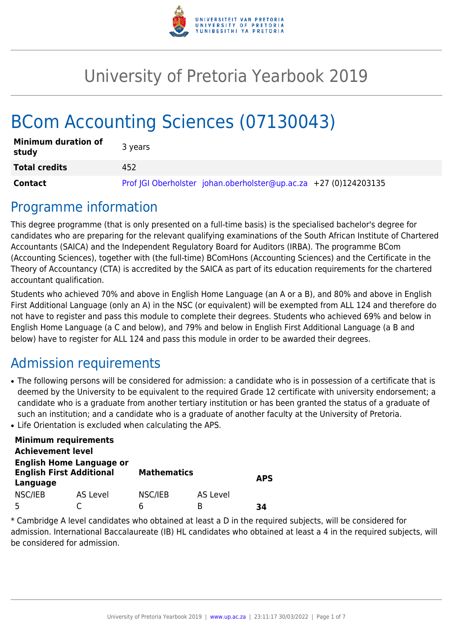

# University of Pretoria Yearbook 2019

# BCom Accounting Sciences (07130043)

| <b>Minimum duration of</b><br>study | 3 years                                                          |
|-------------------------------------|------------------------------------------------------------------|
| <b>Total credits</b>                | 452                                                              |
| Contact                             | Prof JGI Oberholster johan.oberholster@up.ac.za +27 (0)124203135 |

### Programme information

This degree programme (that is only presented on a full-time basis) is the specialised bachelor's degree for candidates who are preparing for the relevant qualifying examinations of the South African Institute of Chartered Accountants (SAICA) and the Independent Regulatory Board for Auditors (IRBA). The programme BCom (Accounting Sciences), together with (the full-time) BComHons (Accounting Sciences) and the Certificate in the Theory of Accountancy (CTA) is accredited by the SAICA as part of its education requirements for the chartered accountant qualification.

Students who achieved 70% and above in English Home Language (an A or a B), and 80% and above in English First Additional Language (only an A) in the NSC (or equivalent) will be exempted from ALL 124 and therefore do not have to register and pass this module to complete their degrees. Students who achieved 69% and below in English Home Language (a C and below), and 79% and below in English First Additional Language (a B and below) have to register for ALL 124 and pass this module in order to be awarded their degrees.

### Admission requirements

- The following persons will be considered for admission: a candidate who is in possession of a certificate that is deemed by the University to be equivalent to the required Grade 12 certificate with university endorsement; a candidate who is a graduate from another tertiary institution or has been granted the status of a graduate of such an institution; and a candidate who is a graduate of another faculty at the University of Pretoria.
- Life Orientation is excluded when calculating the APS.

| <b>Minimum requirements</b>                                                    |          |                    |          |            |  |
|--------------------------------------------------------------------------------|----------|--------------------|----------|------------|--|
| <b>Achievement level</b>                                                       |          |                    |          |            |  |
| <b>English Home Language or</b><br><b>English First Additional</b><br>Language |          | <b>Mathematics</b> |          | <b>APS</b> |  |
| NSC/IEB                                                                        | AS Level | NSC/IEB            | AS Level |            |  |
| г,                                                                             |          | რ                  | в        | 34         |  |

\* Cambridge A level candidates who obtained at least a D in the required subjects, will be considered for admission. International Baccalaureate (IB) HL candidates who obtained at least a 4 in the required subjects, will be considered for admission.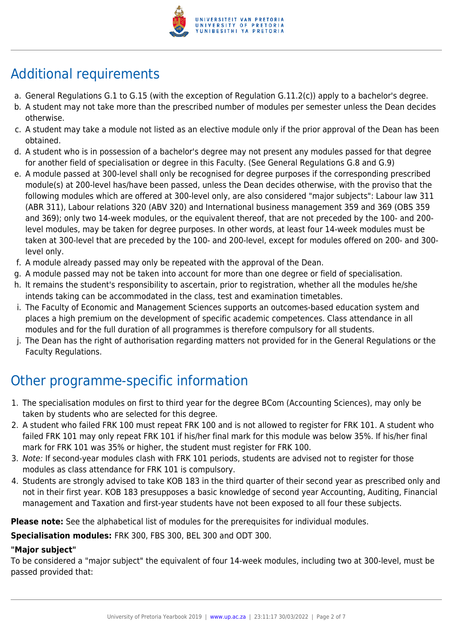

## Additional requirements

- a. General Regulations G.1 to G.15 (with the exception of Regulation G.11.2(c)) apply to a bachelor's degree.
- b. A student may not take more than the prescribed number of modules per semester unless the Dean decides otherwise.
- c. A student may take a module not listed as an elective module only if the prior approval of the Dean has been obtained.
- d. A student who is in possession of a bachelor's degree may not present any modules passed for that degree for another field of specialisation or degree in this Faculty. (See General Regulations G.8 and G.9)
- e. A module passed at 300-level shall only be recognised for degree purposes if the corresponding prescribed module(s) at 200-level has/have been passed, unless the Dean decides otherwise, with the proviso that the following modules which are offered at 300-level only, are also considered "major subjects": Labour law 311 (ABR 311), Labour relations 320 (ABV 320) and International business management 359 and 369 (OBS 359 and 369); only two 14-week modules, or the equivalent thereof, that are not preceded by the 100- and 200 level modules, may be taken for degree purposes. In other words, at least four 14-week modules must be taken at 300-level that are preceded by the 100- and 200-level, except for modules offered on 200- and 300 level only.
- f. A module already passed may only be repeated with the approval of the Dean.
- g. A module passed may not be taken into account for more than one degree or field of specialisation.
- h. It remains the student's responsibility to ascertain, prior to registration, whether all the modules he/she intends taking can be accommodated in the class, test and examination timetables.
- i. The Faculty of Economic and Management Sciences supports an outcomes-based education system and places a high premium on the development of specific academic competences. Class attendance in all modules and for the full duration of all programmes is therefore compulsory for all students.
- j. The Dean has the right of authorisation regarding matters not provided for in the General Regulations or the Faculty Regulations.

## Other programme-specific information

- 1. The specialisation modules on first to third year for the degree BCom (Accounting Sciences), may only be taken by students who are selected for this degree.
- 2. A student who failed FRK 100 must repeat FRK 100 and is not allowed to register for FRK 101. A student who failed FRK 101 may only repeat FRK 101 if his/her final mark for this module was below 35%. If his/her final mark for FRK 101 was 35% or higher, the student must register for FRK 100.
- 3. Note: If second-year modules clash with FRK 101 periods, students are advised not to register for those modules as class attendance for FRK 101 is compulsory.
- 4. Students are strongly advised to take KOB 183 in the third quarter of their second year as prescribed only and not in their first year. KOB 183 presupposes a basic knowledge of second year Accounting, Auditing, Financial management and Taxation and first-year students have not been exposed to all four these subjects.

**Please note:** See the alphabetical list of modules for the prerequisites for individual modules.

**Specialisation modules:** FRK 300, FBS 300, BEL 300 and ODT 300.

#### **"Major subject"**

To be considered a "major subject" the equivalent of four 14-week modules, including two at 300-level, must be passed provided that: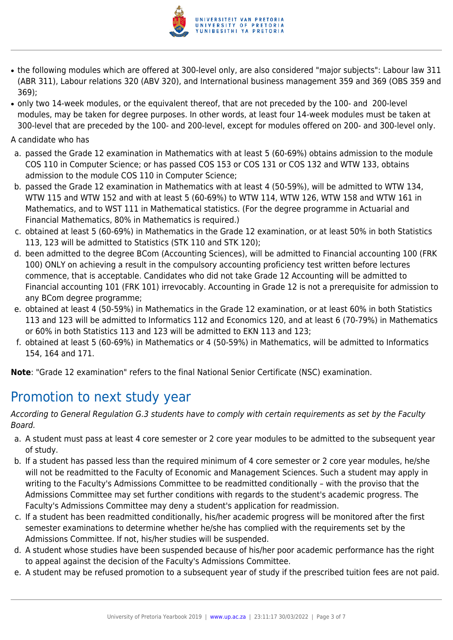

- the following modules which are offered at 300-level only, are also considered "major subjects": Labour law 311 (ABR 311), Labour relations 320 (ABV 320), and International business management 359 and 369 (OBS 359 and 369);
- only two 14-week modules, or the equivalent thereof, that are not preceded by the 100- and 200-level modules, may be taken for degree purposes. In other words, at least four 14-week modules must be taken at 300-level that are preceded by the 100- and 200-level, except for modules offered on 200- and 300-level only.

A candidate who has

- a. passed the Grade 12 examination in Mathematics with at least 5 (60-69%) obtains admission to the module COS 110 in Computer Science; or has passed COS 153 or COS 131 or COS 132 and WTW 133, obtains admission to the module COS 110 in Computer Science;
- b. passed the Grade 12 examination in Mathematics with at least 4 (50-59%), will be admitted to WTW 134, WTW 115 and WTW 152 and with at least 5 (60-69%) to WTW 114, WTW 126, WTW 158 and WTW 161 in Mathematics, and to WST 111 in Mathematical statistics. (For the degree programme in Actuarial and Financial Mathematics, 80% in Mathematics is required.)
- c. obtained at least 5 (60-69%) in Mathematics in the Grade 12 examination, or at least 50% in both Statistics 113, 123 will be admitted to Statistics (STK 110 and STK 120);
- d. been admitted to the degree BCom (Accounting Sciences), will be admitted to Financial accounting 100 (FRK 100) ONLY on achieving a result in the compulsory accounting proficiency test written before lectures commence, that is acceptable. Candidates who did not take Grade 12 Accounting will be admitted to Financial accounting 101 (FRK 101) irrevocably. Accounting in Grade 12 is not a prerequisite for admission to any BCom degree programme;
- e. obtained at least 4 (50-59%) in Mathematics in the Grade 12 examination, or at least 60% in both Statistics 113 and 123 will be admitted to Informatics 112 and Economics 120, and at least 6 (70-79%) in Mathematics or 60% in both Statistics 113 and 123 will be admitted to EKN 113 and 123;
- f. obtained at least 5 (60-69%) in Mathematics or 4 (50-59%) in Mathematics, will be admitted to Informatics 154, 164 and 171.

**Note**: "Grade 12 examination" refers to the final National Senior Certificate (NSC) examination.

### Promotion to next study year

According to General Regulation G.3 students have to comply with certain requirements as set by the Faculty Board.

- a. A student must pass at least 4 core semester or 2 core year modules to be admitted to the subsequent year of study.
- b. If a student has passed less than the required minimum of 4 core semester or 2 core year modules, he/she will not be readmitted to the Faculty of Economic and Management Sciences. Such a student may apply in writing to the Faculty's Admissions Committee to be readmitted conditionally – with the proviso that the Admissions Committee may set further conditions with regards to the student's academic progress. The Faculty's Admissions Committee may deny a student's application for readmission.
- c. If a student has been readmitted conditionally, his/her academic progress will be monitored after the first semester examinations to determine whether he/she has complied with the requirements set by the Admissions Committee. If not, his/her studies will be suspended.
- d. A student whose studies have been suspended because of his/her poor academic performance has the right to appeal against the decision of the Faculty's Admissions Committee.
- e. A student may be refused promotion to a subsequent year of study if the prescribed tuition fees are not paid.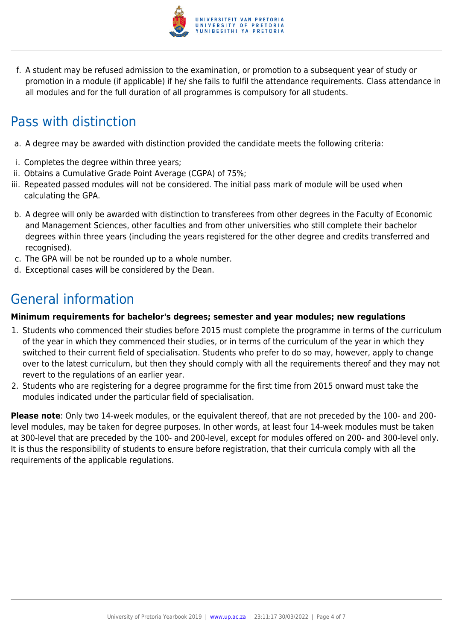

f. A student may be refused admission to the examination, or promotion to a subsequent year of study or promotion in a module (if applicable) if he/ she fails to fulfil the attendance requirements. Class attendance in all modules and for the full duration of all programmes is compulsory for all students.

### Pass with distinction

- a. A degree may be awarded with distinction provided the candidate meets the following criteria:
- i. Completes the degree within three years;
- ii. Obtains a Cumulative Grade Point Average (CGPA) of 75%;
- iii. Repeated passed modules will not be considered. The initial pass mark of module will be used when calculating the GPA.
- b. A degree will only be awarded with distinction to transferees from other degrees in the Faculty of Economic and Management Sciences, other faculties and from other universities who still complete their bachelor degrees within three years (including the years registered for the other degree and credits transferred and recognised).
- c. The GPA will be not be rounded up to a whole number.
- d. Exceptional cases will be considered by the Dean.

### General information

#### **Minimum requirements for bachelor's degrees; semester and year modules; new regulations**

- 1. Students who commenced their studies before 2015 must complete the programme in terms of the curriculum of the year in which they commenced their studies, or in terms of the curriculum of the year in which they switched to their current field of specialisation. Students who prefer to do so may, however, apply to change over to the latest curriculum, but then they should comply with all the requirements thereof and they may not revert to the regulations of an earlier year.
- 2. Students who are registering for a degree programme for the first time from 2015 onward must take the modules indicated under the particular field of specialisation.

**Please note**: Only two 14-week modules, or the equivalent thereof, that are not preceded by the 100- and 200 level modules, may be taken for degree purposes. In other words, at least four 14-week modules must be taken at 300-level that are preceded by the 100- and 200-level, except for modules offered on 200- and 300-level only. It is thus the responsibility of students to ensure before registration, that their curricula comply with all the requirements of the applicable regulations.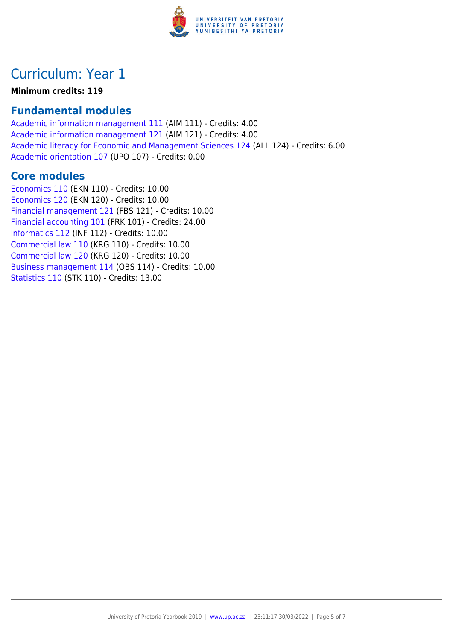

### Curriculum: Year 1

**Minimum credits: 119**

### **Fundamental modules**

[Academic information management 111](https://www.up.ac.za/yearbooks/2019/modules/view/AIM 111) (AIM 111) - Credits: 4.00 [Academic information management 121](https://www.up.ac.za/yearbooks/2019/modules/view/AIM 121) (AIM 121) - Credits: 4.00 [Academic literacy for Economic and Management Sciences 124](https://www.up.ac.za/yearbooks/2019/modules/view/ALL 124) (ALL 124) - Credits: 6.00 [Academic orientation 107](https://www.up.ac.za/yearbooks/2019/modules/view/UPO 107) (UPO 107) - Credits: 0.00

#### **Core modules**

[Economics 110](https://www.up.ac.za/yearbooks/2019/modules/view/EKN 110) (EKN 110) - Credits: 10.00 [Economics 120](https://www.up.ac.za/yearbooks/2019/modules/view/EKN 120) (EKN 120) - Credits: 10.00 [Financial management 121](https://www.up.ac.za/yearbooks/2019/modules/view/FBS 121) (FBS 121) - Credits: 10.00 [Financial accounting 101](https://www.up.ac.za/yearbooks/2019/modules/view/FRK 101) (FRK 101) - Credits: 24.00 [Informatics 112](https://www.up.ac.za/yearbooks/2019/modules/view/INF 112) (INF 112) - Credits: 10.00 [Commercial law 110](https://www.up.ac.za/yearbooks/2019/modules/view/KRG 110) (KRG 110) - Credits: 10.00 [Commercial law 120](https://www.up.ac.za/yearbooks/2019/modules/view/KRG 120) (KRG 120) - Credits: 10.00 [Business management 114](https://www.up.ac.za/yearbooks/2019/modules/view/OBS 114) (OBS 114) - Credits: 10.00 [Statistics 110](https://www.up.ac.za/yearbooks/2019/modules/view/STK 110) (STK 110) - Credits: 13.00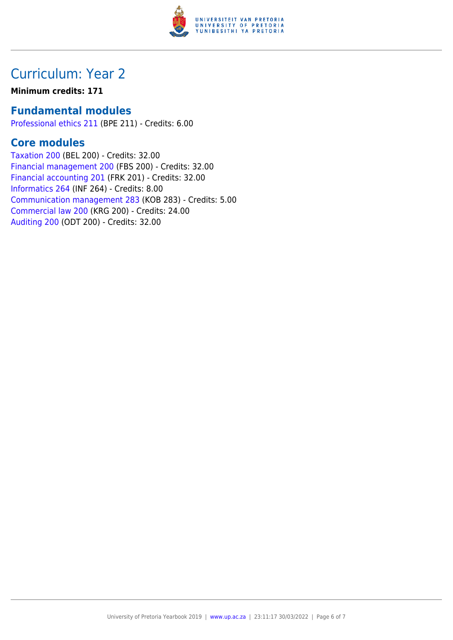

### Curriculum: Year 2

#### **Minimum credits: 171**

#### **Fundamental modules**

[Professional ethics 211](https://www.up.ac.za/yearbooks/2019/modules/view/BPE 211) (BPE 211) - Credits: 6.00

### **Core modules**

[Taxation 200](https://www.up.ac.za/yearbooks/2019/modules/view/BEL 200) (BEL 200) - Credits: 32.00 [Financial management 200](https://www.up.ac.za/yearbooks/2019/modules/view/FBS 200) (FBS 200) - Credits: 32.00 [Financial accounting 201](https://www.up.ac.za/yearbooks/2019/modules/view/FRK 201) (FRK 201) - Credits: 32.00 [Informatics 264](https://www.up.ac.za/yearbooks/2019/modules/view/INF 264) (INF 264) - Credits: 8.00 [Communication management 283](https://www.up.ac.za/yearbooks/2019/modules/view/KOB 283) (KOB 283) - Credits: 5.00 [Commercial law 200](https://www.up.ac.za/yearbooks/2019/modules/view/KRG 200) (KRG 200) - Credits: 24.00 [Auditing 200](https://www.up.ac.za/yearbooks/2019/modules/view/ODT 200) (ODT 200) - Credits: 32.00